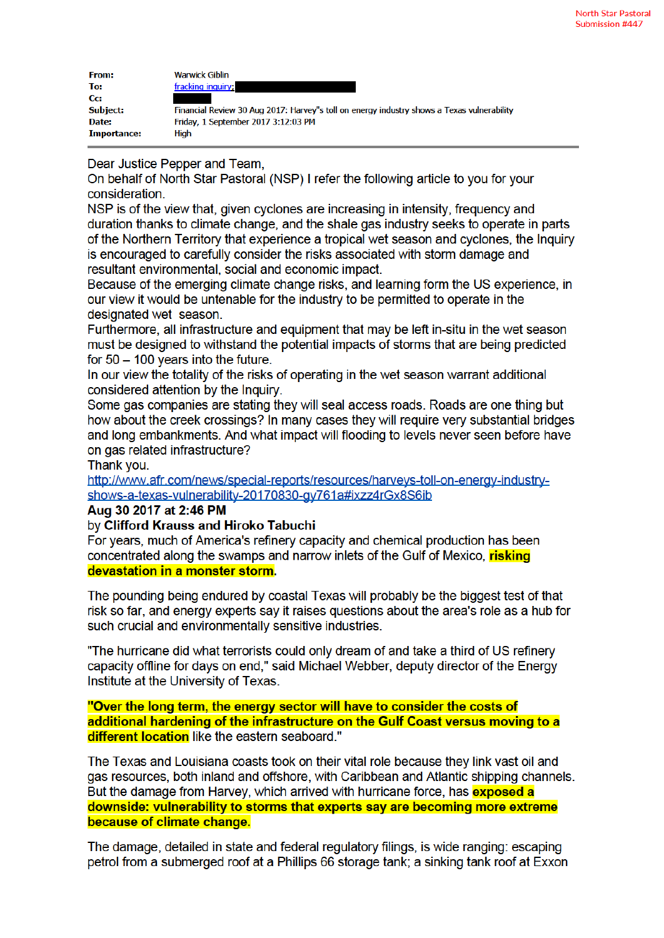| <b>From:</b>       | <b>Warwick Giblin</b>                                                                      |
|--------------------|--------------------------------------------------------------------------------------------|
| To:                | fracking inquiry;                                                                          |
| Cc:                |                                                                                            |
| Subject:           | Financial Review 30 Aug 2017: Harvey"s toll on energy industry shows a Texas vulnerability |
| Date:              | Friday, 1 September 2017 3:12:03 PM                                                        |
| <b>Importance:</b> | <b>High</b>                                                                                |

Dear Justice Pepper and Team,

On behalf of North Star Pastoral (NSP) I refer the following article to you for your consideration.

NSP is of the view that, given cyclones are increasing in intensity, frequency and duration thanks to climate change, and the shale gas industry seeks to operate in parts of the Northern Territory that experience a tropical wet season and cyclones, the Inquiry is encouraged to carefully consider the risks associated with storm damage and resultant environmental, social and economic impact.

Because of the emerging climate change risks, and learning form the US experience, in our view it would be untenable for the industry to be permitted to operate in the designated wet season.

Furthermore, all infrastructure and equipment that may be left in-situ in the wet season must be designed to withstand the potential impacts of storms that are being predicted for  $50 - 100$  vears into the future.

In our view the totality of the risks of operating in the wet season warrant additional considered attention by the Inquiry.

Some gas companies are stating they will seal access roads. Roads are one thing but how about the creek crossings? In many cases they will require very substantial bridges and long embankments. And what impact will flooding to levels never seen before have on gas related infrastructure?

Thank vou.

http://www.afr.com/news/special-reports/resources/harveys-toll-on-energy-industryshows-a-texas-vulnerability-20170830-gy761a#ixzz4rGx8S6ib

## Aug 30 2017 at 2:46 PM

## by Clifford Krauss and Hiroko Tabuchi

For years, much of America's refinery capacity and chemical production has been concentrated along the swamps and narrow inlets of the Gulf of Mexico, risking devastation in a monster storm.

The pounding being endured by coastal Texas will probably be the biggest test of that risk so far, and energy experts say it raises questions about the area's role as a hub for such crucial and environmentally sensitive industries.

"The hurricane did what terrorists could only dream of and take a third of US refinery capacity offline for days on end," said Michael Webber, deputy director of the Energy Institute at the University of Texas.

"Over the long term, the energy sector will have to consider the costs of additional hardening of the infrastructure on the Gulf Coast versus moving to a different location like the eastern seaboard."

The Texas and Louisiana coasts took on their vital role because they link vast oil and gas resources, both inland and offshore, with Caribbean and Atlantic shipping channels. But the damage from Harvey, which arrived with hurricane force, has **exposed a** downside: vulnerability to storms that experts say are becoming more extreme because of climate change.

The damage, detailed in state and federal regulatory filings, is wide ranging: escaping petrol from a submerged roof at a Phillips 66 storage tank; a sinking tank roof at Exxon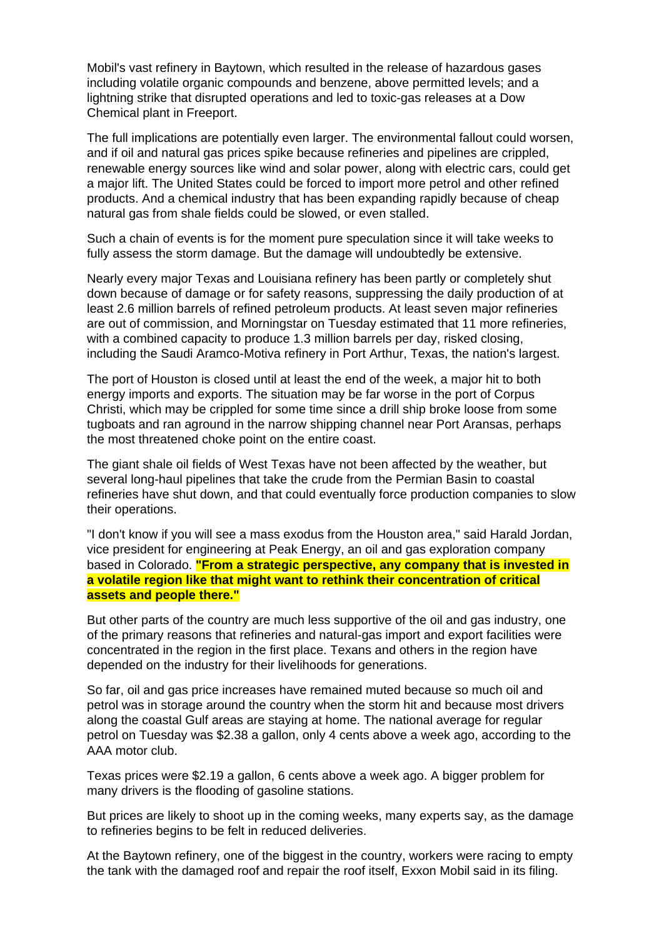Mobil's vast refinery in Baytown, which resulted in the release of hazardous gases including volatile organic compounds and benzene, above permitted levels; and a lightning strike that disrupted operations and led to toxic-gas releases at a Dow Chemical plant in Freeport.

The full implications are potentially even larger. The environmental fallout could worsen, and if oil and natural gas prices spike because refineries and pipelines are crippled, renewable energy sources like wind and solar power, along with electric cars, could get a major lift. The United States could be forced to import more petrol and other refined products. And a chemical industry that has been expanding rapidly because of cheap natural gas from shale fields could be slowed, or even stalled.

Such a chain of events is for the moment pure speculation since it will take weeks to fully assess the storm damage. But the damage will undoubtedly be extensive.

Nearly every major Texas and Louisiana refinery has been partly or completely shut down because of damage or for safety reasons, suppressing the daily production of at least 2.6 million barrels of refined petroleum products. At least seven major refineries are out of commission, and Morningstar on Tuesday estimated that 11 more refineries, with a combined capacity to produce 1.3 million barrels per day, risked closing, including the Saudi Aramco-Motiva refinery in Port Arthur, Texas, the nation's largest.

The port of Houston is closed until at least the end of the week, a major hit to both energy imports and exports. The situation may be far worse in the port of Corpus Christi, which may be crippled for some time since a drill ship broke loose from some tugboats and ran aground in the narrow shipping channel near Port Aransas, perhaps the most threatened choke point on the entire coast.

The giant shale oil fields of West Texas have not been affected by the weather, but several long-haul pipelines that take the crude from the Permian Basin to coastal refineries have shut down, and that could eventually force production companies to slow their operations.

"I don't know if you will see a mass exodus from the Houston area," said Harald Jordan, vice president for engineering at Peak Energy, an oil and gas exploration company based in Colorado. **"From a strategic perspective, any company that is invested in a volatile region like that might want to rethink their concentration of critical assets and people there."**

But other parts of the country are much less supportive of the oil and gas industry, one of the primary reasons that refineries and natural-gas import and export facilities were concentrated in the region in the first place. Texans and others in the region have depended on the industry for their livelihoods for generations.

So far, oil and gas price increases have remained muted because so much oil and petrol was in storage around the country when the storm hit and because most drivers along the coastal Gulf areas are staying at home. The national average for regular petrol on Tuesday was \$2.38 a gallon, only 4 cents above a week ago, according to the AAA motor club.

Texas prices were \$2.19 a gallon, 6 cents above a week ago. A bigger problem for many drivers is the flooding of gasoline stations.

But prices are likely to shoot up in the coming weeks, many experts say, as the damage to refineries begins to be felt in reduced deliveries.

At the Baytown refinery, one of the biggest in the country, workers were racing to empty the tank with the damaged roof and repair the roof itself, Exxon Mobil said in its filing.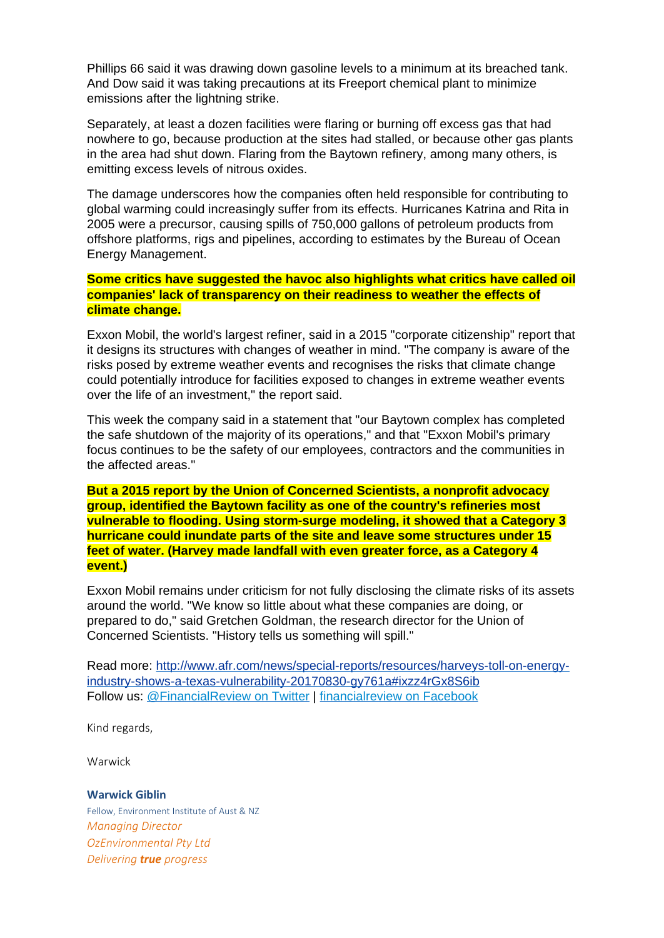Phillips 66 said it was drawing down gasoline levels to a minimum at its breached tank. And Dow said it was taking precautions at its Freeport chemical plant to minimize emissions after the lightning strike.

Separately, at least a dozen facilities were flaring or burning off excess gas that had nowhere to go, because production at the sites had stalled, or because other gas plants in the area had shut down. Flaring from the Baytown refinery, among many others, is emitting excess levels of nitrous oxides.

The damage underscores how the companies often held responsible for contributing to global warming could increasingly suffer from its effects. Hurricanes Katrina and Rita in 2005 were a precursor, causing spills of 750,000 gallons of petroleum products from offshore platforms, rigs and pipelines, according to estimates by the Bureau of Ocean Energy Management.

**Some critics have suggested the havoc also highlights what critics have called oil companies' lack of transparency on their readiness to weather the effects of climate change.**

Exxon Mobil, the world's largest refiner, said in a 2015 "corporate citizenship" report that it designs its structures with changes of weather in mind. "The company is aware of the risks posed by extreme weather events and recognises the risks that climate change could potentially introduce for facilities exposed to changes in extreme weather events over the life of an investment," the report said.

This week the company said in a statement that "our Baytown complex has completed the safe shutdown of the majority of its operations," and that "Exxon Mobil's primary focus continues to be the safety of our employees, contractors and the communities in the affected areas."

**But a 2015 report by the Union of Concerned Scientists, a nonprofit advocacy group, identified the Baytown facility as one of the country's refineries most vulnerable to flooding. Using storm-surge modeling, it showed that a Category 3 hurricane could inundate parts of the site and leave some structures under 15 feet of water. (Harvey made landfall with even greater force, as a Category 4 event.)**

Exxon Mobil remains under criticism for not fully disclosing the climate risks of its assets around the world. "We know so little about what these companies are doing, or prepared to do," said Gretchen Goldman, the research director for the Union of Concerned Scientists. "History tells us something will spill."

Read more: http://www.afr.com/news/special-reports/resources/harveys-toll-on-energyindustry-shows-a-texas-vulnerability-20170830-gy761a#ixzz4rGx8S6ib Follow us: @FinancialReview on Twitter | financialreview on Facebook

Kind regards,

Warwick

**Warwick Giblin** Fellow, Environment Institute of Aust & NZ *Managing Director OzEnvironmental Pty Ltd Delivering true progress*